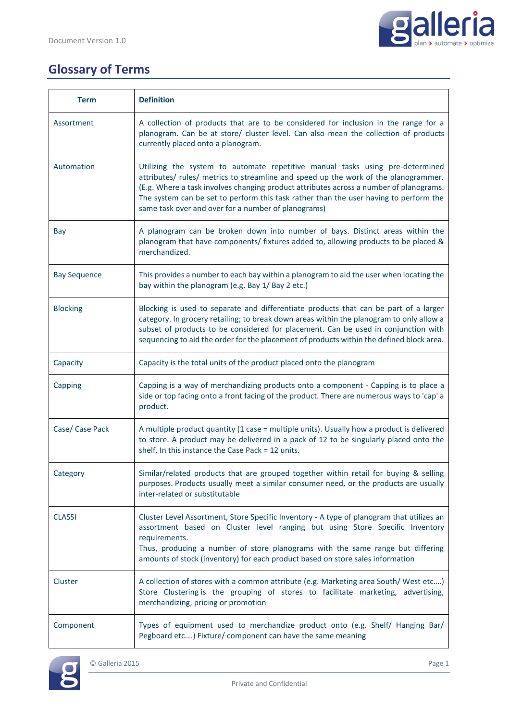

## **Glossary of Terms**

| <b>Term</b>         | <b>Definition</b>                                                                                                                                                                                                                                                                                                                                                                                              |
|---------------------|----------------------------------------------------------------------------------------------------------------------------------------------------------------------------------------------------------------------------------------------------------------------------------------------------------------------------------------------------------------------------------------------------------------|
| Assortment          | A collection of products that are to be considered for inclusion in the range for a<br>planogram. Can be at store/ cluster level. Can also mean the collection of products<br>currently placed onto a planogram.                                                                                                                                                                                               |
| Automation          | Utilizing the system to automate repetitive manual tasks using pre-determined<br>attributes/ rules/ metrics to streamline and speed up the work of the planogrammer.<br>(E.g. Where a task involves changing product attributes across a number of planograms.<br>The system can be set to perform this task rather than the user having to perform the<br>same task over and over for a number of planograms) |
| Bay                 | A planogram can be broken down into number of bays. Distinct areas within the<br>planogram that have components/ fixtures added to, allowing products to be placed &<br>merchandized.                                                                                                                                                                                                                          |
| <b>Bay Sequence</b> | This provides a number to each bay within a planogram to aid the user when locating the<br>bay within the planogram (e.g. Bay 1/ Bay 2 etc.)                                                                                                                                                                                                                                                                   |
| <b>Blocking</b>     | Blocking is used to separate and differentiate products that can be part of a larger<br>category. In grocery retailing; to break down areas within the planogram to only allow a<br>subset of products to be considered for placement. Can be used in conjunction with<br>sequencing to aid the order for the placement of products within the defined block area.                                             |
| Capacity            | Capacity is the total units of the product placed onto the planogram                                                                                                                                                                                                                                                                                                                                           |
| Capping             | Capping is a way of merchandizing products onto a component - Capping is to place a<br>side or top facing onto a front facing of the product. There are numerous ways to 'cap' a<br>product.                                                                                                                                                                                                                   |
| Case/ Case Pack     | A multiple product quantity (1 case = multiple units). Usually how a product is delivered<br>to store. A product may be delivered in a pack of 12 to be singularly placed onto the<br>shelf. In this instance the Case Pack = 12 units.                                                                                                                                                                        |
| Category            | Similar/related products that are grouped together within retail for buying & selling<br>purposes. Products usually meet a similar consumer need, or the products are usually<br>inter-related or substitutable                                                                                                                                                                                                |
| <b>CLASSI</b>       | Cluster Level Assortment, Store Specific Inventory - A type of planogram that utilizes an<br>assortment based on Cluster level ranging but using Store Specific Inventory<br>requirements.<br>Thus, producing a number of store planograms with the same range but differing<br>amounts of stock (inventory) for each product based on store sales information                                                 |
| Cluster             | A collection of stores with a common attribute (e.g. Marketing area South/West etc)<br>Store Clustering is the grouping of stores to facilitate marketing, advertising,<br>merchandizing, pricing or promotion                                                                                                                                                                                                 |
| Component           | Types of equipment used to merchandize product onto (e.g. Shelf/ Hanging Bar/<br>Pegboard etc) Fixture/ component can have the same meaning                                                                                                                                                                                                                                                                    |

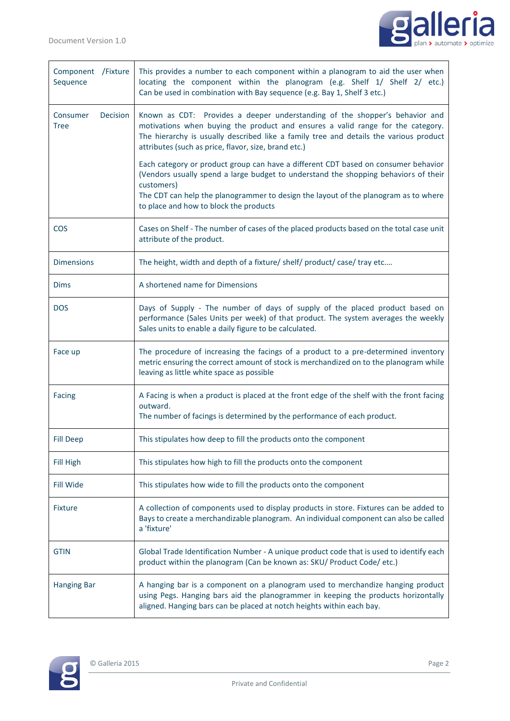

| Component /Fixture<br>Sequence             | This provides a number to each component within a planogram to aid the user when<br>locating the component within the planogram (e.g. Shelf 1/ Shelf 2/ etc.)<br>Can be used in combination with Bay sequence (e.g. Bay 1, Shelf 3 etc.)                                                                                 |
|--------------------------------------------|--------------------------------------------------------------------------------------------------------------------------------------------------------------------------------------------------------------------------------------------------------------------------------------------------------------------------|
| Consumer<br><b>Decision</b><br><b>Tree</b> | Known as CDT: Provides a deeper understanding of the shopper's behavior and<br>motivations when buying the product and ensures a valid range for the category.<br>The hierarchy is usually described like a family tree and details the various product<br>attributes (such as price, flavor, size, brand etc.)          |
|                                            | Each category or product group can have a different CDT based on consumer behavior<br>(Vendors usually spend a large budget to understand the shopping behaviors of their<br>customers)<br>The CDT can help the planogrammer to design the layout of the planogram as to where<br>to place and how to block the products |
| <b>COS</b>                                 | Cases on Shelf - The number of cases of the placed products based on the total case unit<br>attribute of the product.                                                                                                                                                                                                    |
| <b>Dimensions</b>                          | The height, width and depth of a fixture/ shelf/ product/ case/ tray etc                                                                                                                                                                                                                                                 |
| <b>Dims</b>                                | A shortened name for Dimensions                                                                                                                                                                                                                                                                                          |
| <b>DOS</b>                                 | Days of Supply - The number of days of supply of the placed product based on<br>performance (Sales Units per week) of that product. The system averages the weekly<br>Sales units to enable a daily figure to be calculated.                                                                                             |
| Face up                                    | The procedure of increasing the facings of a product to a pre-determined inventory<br>metric ensuring the correct amount of stock is merchandized on to the planogram while<br>leaving as little white space as possible                                                                                                 |
| Facing                                     | A Facing is when a product is placed at the front edge of the shelf with the front facing<br>outward.<br>The number of facings is determined by the performance of each product.                                                                                                                                         |
| <b>Fill Deep</b>                           | This stipulates how deep to fill the products onto the component                                                                                                                                                                                                                                                         |
| Fill High                                  | This stipulates how high to fill the products onto the component                                                                                                                                                                                                                                                         |
| Fill Wide                                  | This stipulates how wide to fill the products onto the component                                                                                                                                                                                                                                                         |
| <b>Fixture</b>                             | A collection of components used to display products in store. Fixtures can be added to<br>Bays to create a merchandizable planogram. An individual component can also be called<br>a 'fixture'                                                                                                                           |
| <b>GTIN</b>                                | Global Trade Identification Number - A unique product code that is used to identify each<br>product within the planogram (Can be known as: SKU/ Product Code/ etc.)                                                                                                                                                      |
| <b>Hanging Bar</b>                         | A hanging bar is a component on a planogram used to merchandize hanging product<br>using Pegs. Hanging bars aid the planogrammer in keeping the products horizontally<br>aligned. Hanging bars can be placed at notch heights within each bay.                                                                           |

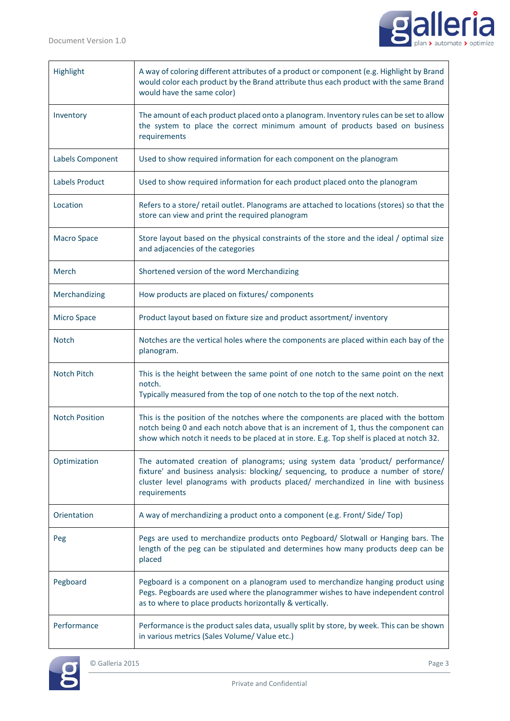

| Highlight             | A way of coloring different attributes of a product or component (e.g. Highlight by Brand<br>would color each product by the Brand attribute thus each product with the same Brand<br>would have the same color)                                                           |
|-----------------------|----------------------------------------------------------------------------------------------------------------------------------------------------------------------------------------------------------------------------------------------------------------------------|
| Inventory             | The amount of each product placed onto a planogram. Inventory rules can be set to allow<br>the system to place the correct minimum amount of products based on business<br>requirements                                                                                    |
| Labels Component      | Used to show required information for each component on the planogram                                                                                                                                                                                                      |
| Labels Product        | Used to show required information for each product placed onto the planogram                                                                                                                                                                                               |
| Location              | Refers to a store/ retail outlet. Planograms are attached to locations (stores) so that the<br>store can view and print the required planogram                                                                                                                             |
| <b>Macro Space</b>    | Store layout based on the physical constraints of the store and the ideal / optimal size<br>and adjacencies of the categories                                                                                                                                              |
| Merch                 | Shortened version of the word Merchandizing                                                                                                                                                                                                                                |
| Merchandizing         | How products are placed on fixtures/ components                                                                                                                                                                                                                            |
| <b>Micro Space</b>    | Product layout based on fixture size and product assortment/ inventory                                                                                                                                                                                                     |
| <b>Notch</b>          | Notches are the vertical holes where the components are placed within each bay of the<br>planogram.                                                                                                                                                                        |
| Notch Pitch           | This is the height between the same point of one notch to the same point on the next<br>notch.<br>Typically measured from the top of one notch to the top of the next notch.                                                                                               |
| <b>Notch Position</b> | This is the position of the notches where the components are placed with the bottom<br>notch being 0 and each notch above that is an increment of 1, thus the component can<br>show which notch it needs to be placed at in store. E.g. Top shelf is placed at notch 32.   |
| Optimization          | The automated creation of planograms; using system data 'product/ performance/<br>fixture' and business analysis: blocking/ sequencing, to produce a number of store/<br>cluster level planograms with products placed/ merchandized in line with business<br>requirements |
| Orientation           | A way of merchandizing a product onto a component (e.g. Front/Side/Top)                                                                                                                                                                                                    |
| Peg                   | Pegs are used to merchandize products onto Pegboard/ Slotwall or Hanging bars. The<br>length of the peg can be stipulated and determines how many products deep can be<br>placed                                                                                           |
| Pegboard              | Pegboard is a component on a planogram used to merchandize hanging product using<br>Pegs. Pegboards are used where the planogrammer wishes to have independent control<br>as to where to place products horizontally & vertically.                                         |
| Performance           | Performance is the product sales data, usually split by store, by week. This can be shown<br>in various metrics (Sales Volume/ Value etc.)                                                                                                                                 |

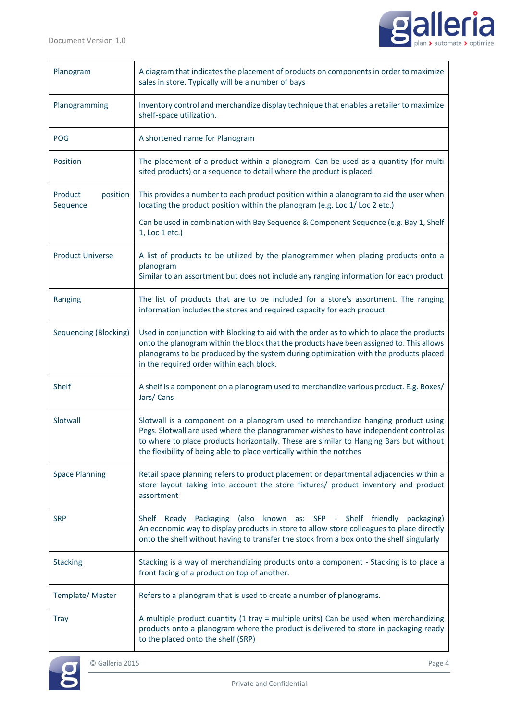

| Planogram                       | A diagram that indicates the placement of products on components in order to maximize<br>sales in store. Typically will be a number of bays                                                                                                                                                                                                |
|---------------------------------|--------------------------------------------------------------------------------------------------------------------------------------------------------------------------------------------------------------------------------------------------------------------------------------------------------------------------------------------|
| Planogramming                   | Inventory control and merchandize display technique that enables a retailer to maximize<br>shelf-space utilization.                                                                                                                                                                                                                        |
| <b>POG</b>                      | A shortened name for Planogram                                                                                                                                                                                                                                                                                                             |
| Position                        | The placement of a product within a planogram. Can be used as a quantity (for multi<br>sited products) or a sequence to detail where the product is placed.                                                                                                                                                                                |
| Product<br>position<br>Sequence | This provides a number to each product position within a planogram to aid the user when<br>locating the product position within the planogram (e.g. Loc 1/Loc 2 etc.)                                                                                                                                                                      |
|                                 | Can be used in combination with Bay Sequence & Component Sequence (e.g. Bay 1, Shelf<br>1, Loc 1 etc.)                                                                                                                                                                                                                                     |
| <b>Product Universe</b>         | A list of products to be utilized by the planogrammer when placing products onto a<br>planogram<br>Similar to an assortment but does not include any ranging information for each product                                                                                                                                                  |
| Ranging                         | The list of products that are to be included for a store's assortment. The ranging<br>information includes the stores and required capacity for each product.                                                                                                                                                                              |
| Sequencing (Blocking)           | Used in conjunction with Blocking to aid with the order as to which to place the products<br>onto the planogram within the block that the products have been assigned to. This allows<br>planograms to be produced by the system during optimization with the products placed<br>in the required order within each block.                  |
| <b>Shelf</b>                    | A shelf is a component on a planogram used to merchandize various product. E.g. Boxes/<br>Jars/Cans                                                                                                                                                                                                                                        |
| Slotwall                        | Slotwall is a component on a planogram used to merchandize hanging product using<br>Pegs. Slotwall are used where the planogrammer wishes to have independent control as<br>to where to place products horizontally. These are similar to Hanging Bars but without<br>the flexibility of being able to place vertically within the notches |
| <b>Space Planning</b>           | Retail space planning refers to product placement or departmental adjacencies within a<br>store layout taking into account the store fixtures/ product inventory and product<br>assortment                                                                                                                                                 |
| <b>SRP</b>                      | Ready Packaging (also<br>known as: SFP - Shelf friendly<br>Shelf<br>packaging)<br>An economic way to display products in store to allow store colleagues to place directly<br>onto the shelf without having to transfer the stock from a box onto the shelf singularly                                                                     |
| <b>Stacking</b>                 | Stacking is a way of merchandizing products onto a component - Stacking is to place a<br>front facing of a product on top of another.                                                                                                                                                                                                      |
| Template/Master                 | Refers to a planogram that is used to create a number of planograms.                                                                                                                                                                                                                                                                       |
| <b>Tray</b>                     | A multiple product quantity (1 tray = multiple units) Can be used when merchandizing<br>products onto a planogram where the product is delivered to store in packaging ready<br>to the placed onto the shelf (SRP)                                                                                                                         |